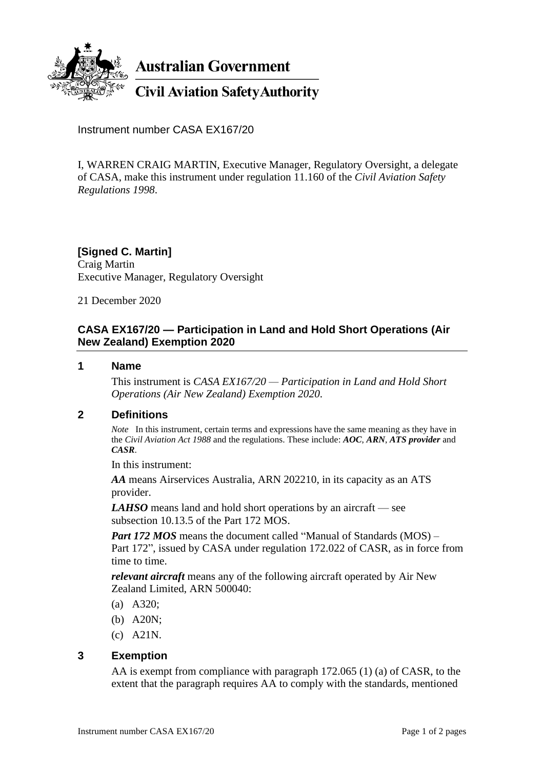

**Australian Government** 

**Civil Aviation Safety Authority** 

Instrument number CASA EX167/20

I, WARREN CRAIG MARTIN, Executive Manager, Regulatory Oversight, a delegate of CASA, make this instrument under regulation 11.160 of the *Civil Aviation Safety Regulations 1998*.

**[Signed C. Martin]** Craig Martin Executive Manager, Regulatory Oversight

21 December 2020

# **CASA EX167/20 — Participation in Land and Hold Short Operations (Air New Zealand) Exemption 2020**

#### **1 Name**

This instrument is *CASA EX167/20 — Participation in Land and Hold Short Operations (Air New Zealand) Exemption 2020*.

## **2 Definitions**

*Note* In this instrument, certain terms and expressions have the same meaning as they have in the *Civil Aviation Act 1988* and the regulations. These include: *AOC*, *ARN*, *ATS provider* and *CASR*.

In this instrument:

*AA* means Airservices Australia, ARN 202210, in its capacity as an ATS provider.

*LAHSO* means land and hold short operations by an aircraft — see subsection 10.13.5 of the Part 172 MOS.

*Part 172 MOS* means the document called "Manual of Standards (MOS) – Part 172", issued by CASA under regulation 172.022 of CASR, as in force from time to time.

*relevant aircraft* means any of the following aircraft operated by Air New Zealand Limited, ARN 500040:

- (a) A320;
- (b) A20N;
- (c) A21N.

## **3 Exemption**

AA is exempt from compliance with paragraph 172.065 (1) (a) of CASR, to the extent that the paragraph requires AA to comply with the standards, mentioned